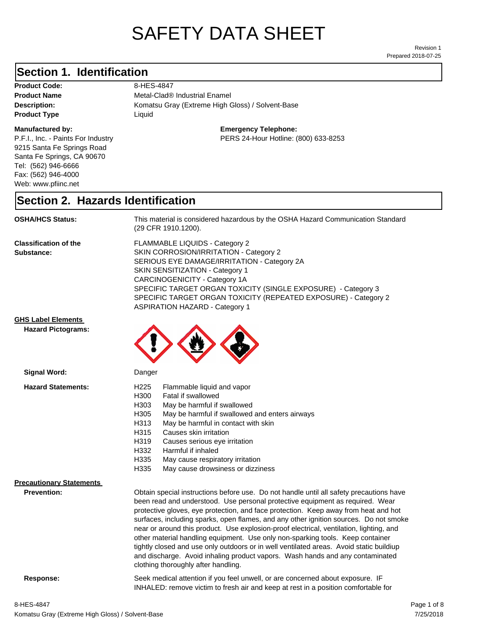# SAFETY DATA SHEET

Prepared 2018-07-25 Revision 1

# **Section 1. Identification**

Product Code: 8-HES-4847 **Product Type Liquid Liquid** 

### **Manufactured by:**

P.F.I., Inc. - Paints For Industry 9215 Santa Fe Springs Road Santa Fe Springs, CA 90670 Tel: (562) 946-6666 Fax: (562) 946-4000 Web: www.pfiinc.net

**Description:** Komatsu Gray (Extreme High Gloss) / Solvent-Base **Product Name** Metal-Clad<sup>®</sup> Industrial Enamel

**Emergency Telephone:**

PERS 24-Hour Hotline: (800) 633-8253

# **Section 2. Hazards Identification**

**OSHA/HCS Status:** This material is considered hazardous by the OSHA Hazard Communication Standard (29 CFR 1910.1200).

**Classification of the Substance:**

FLAMMABLE LIQUIDS - Category 2 SKIN CORROSION/IRRITATION - Category 2 SERIOUS EYE DAMAGE/IRRITATION - Category 2A SKIN SENSITIZATION - Category 1 CARCINOGENICITY - Category 1A SPECIFIC TARGET ORGAN TOXICITY (SINGLE EXPOSURE) - Category 3 SPECIFIC TARGET ORGAN TOXICITY (REPEATED EXPOSURE) - Category 2 ASPIRATION HAZARD - Category 1

## **GHS Label Elements**

**Signal Word:**

**Hazard Pictograms:**



| <b>Hazard Statements:</b>       | H <sub>225</sub><br>Flammable liquid and vapor<br>H300<br>Fatal if swallowed<br>H303<br>May be harmful if swallowed<br>H305<br>May be harmful if swallowed and enters airways<br>H313<br>May be harmful in contact with skin<br>H315<br>Causes skin irritation<br>H319<br>Causes serious eye irritation<br>H332<br>Harmful if inhaled<br>H335<br>May cause respiratory irritation<br>H335<br>May cause drowsiness or dizziness                                                                                                                                                                                                                                                                                                                           |
|---------------------------------|----------------------------------------------------------------------------------------------------------------------------------------------------------------------------------------------------------------------------------------------------------------------------------------------------------------------------------------------------------------------------------------------------------------------------------------------------------------------------------------------------------------------------------------------------------------------------------------------------------------------------------------------------------------------------------------------------------------------------------------------------------|
| <b>Precautionary Statements</b> |                                                                                                                                                                                                                                                                                                                                                                                                                                                                                                                                                                                                                                                                                                                                                          |
| <b>Prevention:</b>              | Obtain special instructions before use. Do not handle until all safety precautions have<br>been read and understood. Use personal protective equipment as required. Wear<br>protective gloves, eye protection, and face protection. Keep away from heat and hot<br>surfaces, including sparks, open flames, and any other ignition sources. Do not smoke<br>near or around this product. Use explosion-proof electrical, ventilation, lighting, and<br>other material handling equipment. Use only non-sparking tools. Keep container<br>tightly closed and use only outdoors or in well ventilated areas. Avoid static buildiup<br>and discharge. Avoid inhaling product vapors. Wash hands and any contaminated<br>clothing thoroughly after handling. |
| Response:                       | Seek medical attention if you feel unwell, or are concerned about exposure. IF<br>INHALED: remove victim to fresh air and keep at rest in a position comfortable for                                                                                                                                                                                                                                                                                                                                                                                                                                                                                                                                                                                     |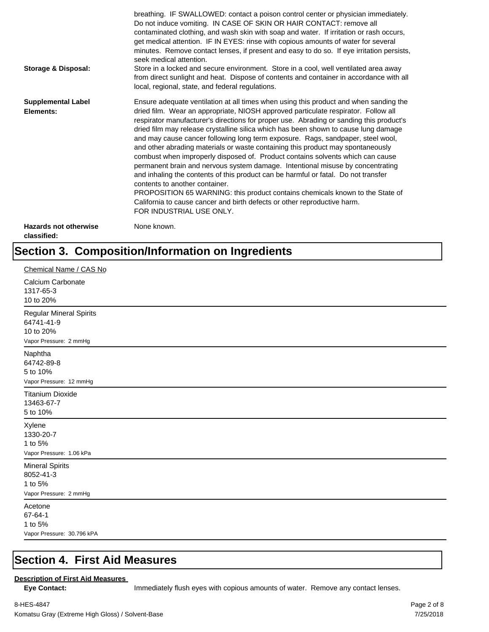| <b>Storage &amp; Disposal:</b>              | breathing. IF SWALLOWED: contact a poison control center or physician immediately.<br>Do not induce vomiting. IN CASE OF SKIN OR HAIR CONTACT: remove all<br>contaminated clothing, and wash skin with soap and water. If irritation or rash occurs,<br>get medical attention. IF IN EYES: rinse with copious amounts of water for several<br>minutes. Remove contact lenses, if present and easy to do so. If eye irritation persists,<br>seek medical attention.<br>Store in a locked and secure environment. Store in a cool, well ventilated area away<br>from direct sunlight and heat. Dispose of contents and container in accordance with all<br>local, regional, state, and federal regulations.                                                                                                                                                                                                                                                                                                                |
|---------------------------------------------|--------------------------------------------------------------------------------------------------------------------------------------------------------------------------------------------------------------------------------------------------------------------------------------------------------------------------------------------------------------------------------------------------------------------------------------------------------------------------------------------------------------------------------------------------------------------------------------------------------------------------------------------------------------------------------------------------------------------------------------------------------------------------------------------------------------------------------------------------------------------------------------------------------------------------------------------------------------------------------------------------------------------------|
| <b>Supplemental Label</b><br>Elements:      | Ensure adequate ventilation at all times when using this product and when sanding the<br>dried film. Wear an appropriate, NIOSH approved particulate respirator. Follow all<br>respirator manufacturer's directions for proper use. Abrading or sanding this product's<br>dried film may release crystalline silica which has been shown to cause lung damage<br>and may cause cancer following long term exposure. Rags, sandpaper, steel wool,<br>and other abrading materials or waste containing this product may spontaneously<br>combust when improperly disposed of. Product contains solvents which can cause<br>permanent brain and nervous system damage. Intentional misuse by concentrating<br>and inhaling the contents of this product can be harmful or fatal. Do not transfer<br>contents to another container.<br>PROPOSITION 65 WARNING: this product contains chemicals known to the State of<br>California to cause cancer and birth defects or other reproductive harm.<br>FOR INDUSTRIAL USE ONLY. |
| <b>Hazards not otherwise</b><br>classified: | None known.                                                                                                                                                                                                                                                                                                                                                                                                                                                                                                                                                                                                                                                                                                                                                                                                                                                                                                                                                                                                              |

# **Section 3. Composition/Information on Ingredients**

| Chemical Name / CAS No                                                              |
|-------------------------------------------------------------------------------------|
| Calcium Carbonate<br>1317-65-3<br>10 to 20%                                         |
| <b>Regular Mineral Spirits</b><br>64741-41-9<br>10 to 20%<br>Vapor Pressure: 2 mmHg |
| Naphtha<br>64742-89-8<br>5 to 10%<br>Vapor Pressure: 12 mmHg                        |
| <b>Titanium Dioxide</b><br>13463-67-7<br>5 to 10%                                   |
| Xylene<br>1330-20-7<br>1 to 5%<br>Vapor Pressure: 1.06 kPa                          |
| <b>Mineral Spirits</b><br>8052-41-3<br>1 to 5%<br>Vapor Pressure: 2 mmHg            |
| Acetone<br>67-64-1<br>1 to 5%<br>Vapor Pressure: 30.796 kPA                         |

# **Section 4. First Aid Measures**

### **Description of First Aid Measures**

Eye Contact: **IMMED** Immediately flush eyes with copious amounts of water. Remove any contact lenses.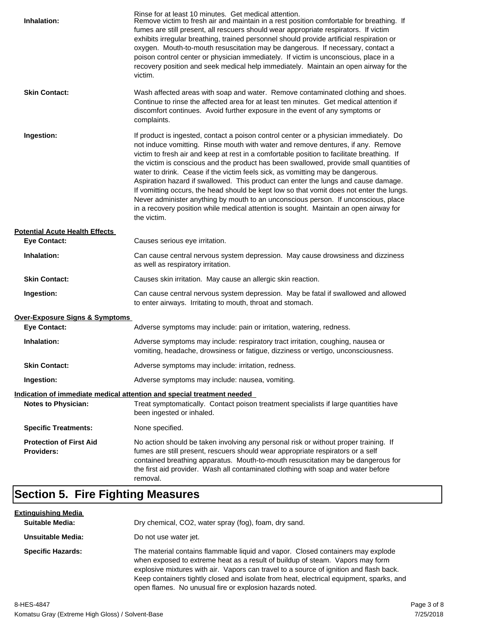| Inhalation:                                         | Rinse for at least 10 minutes. Get medical attention.<br>Remove victim to fresh air and maintain in a rest position comfortable for breathing. If<br>fumes are still present, all rescuers should wear appropriate respirators. If victim<br>exhibits irregular breathing, trained personnel should provide artificial respiration or<br>oxygen. Mouth-to-mouth resuscitation may be dangerous. If necessary, contact a<br>poison control center or physician immediately. If victim is unconscious, place in a<br>recovery position and seek medical help immediately. Maintain an open airway for the<br>victim.                                                                                                                                                                                                                    |
|-----------------------------------------------------|---------------------------------------------------------------------------------------------------------------------------------------------------------------------------------------------------------------------------------------------------------------------------------------------------------------------------------------------------------------------------------------------------------------------------------------------------------------------------------------------------------------------------------------------------------------------------------------------------------------------------------------------------------------------------------------------------------------------------------------------------------------------------------------------------------------------------------------|
| <b>Skin Contact:</b>                                | Wash affected areas with soap and water. Remove contaminated clothing and shoes.<br>Continue to rinse the affected area for at least ten minutes. Get medical attention if<br>discomfort continues. Avoid further exposure in the event of any symptoms or<br>complaints.                                                                                                                                                                                                                                                                                                                                                                                                                                                                                                                                                             |
| Ingestion:                                          | If product is ingested, contact a poison control center or a physician immediately. Do<br>not induce vomitting. Rinse mouth with water and remove dentures, if any. Remove<br>victim to fresh air and keep at rest in a comfortable position to facilitate breathing. If<br>the victim is conscious and the product has been swallowed, provide small quantities of<br>water to drink. Cease if the victim feels sick, as vomitting may be dangerous.<br>Aspiration hazard if swallowed. This product can enter the lungs and cause damage.<br>If vomitting occurs, the head should be kept low so that vomit does not enter the lungs.<br>Never administer anything by mouth to an unconscious person. If unconscious, place<br>in a recovery position while medical attention is sought. Maintain an open airway for<br>the victim. |
| <b>Potential Acute Health Effects</b>               |                                                                                                                                                                                                                                                                                                                                                                                                                                                                                                                                                                                                                                                                                                                                                                                                                                       |
| <b>Eye Contact:</b>                                 | Causes serious eye irritation.                                                                                                                                                                                                                                                                                                                                                                                                                                                                                                                                                                                                                                                                                                                                                                                                        |
| Inhalation:                                         | Can cause central nervous system depression. May cause drowsiness and dizziness<br>as well as respiratory irritation.                                                                                                                                                                                                                                                                                                                                                                                                                                                                                                                                                                                                                                                                                                                 |
| <b>Skin Contact:</b>                                | Causes skin irritation. May cause an allergic skin reaction.                                                                                                                                                                                                                                                                                                                                                                                                                                                                                                                                                                                                                                                                                                                                                                          |
| Ingestion:                                          | Can cause central nervous system depression. May be fatal if swallowed and allowed<br>to enter airways. Irritating to mouth, throat and stomach.                                                                                                                                                                                                                                                                                                                                                                                                                                                                                                                                                                                                                                                                                      |
| <b>Over-Exposure Signs &amp; Symptoms</b>           |                                                                                                                                                                                                                                                                                                                                                                                                                                                                                                                                                                                                                                                                                                                                                                                                                                       |
| <b>Eye Contact:</b>                                 | Adverse symptoms may include: pain or irritation, watering, redness.                                                                                                                                                                                                                                                                                                                                                                                                                                                                                                                                                                                                                                                                                                                                                                  |
| Inhalation:                                         | Adverse symptoms may include: respiratory tract irritation, coughing, nausea or<br>vomiting, headache, drowsiness or fatigue, dizziness or vertigo, unconsciousness.                                                                                                                                                                                                                                                                                                                                                                                                                                                                                                                                                                                                                                                                  |
| <b>Skin Contact:</b>                                | Adverse symptoms may include: irritation, redness.                                                                                                                                                                                                                                                                                                                                                                                                                                                                                                                                                                                                                                                                                                                                                                                    |
| Ingestion:                                          | Adverse symptoms may include: nausea, vomiting.                                                                                                                                                                                                                                                                                                                                                                                                                                                                                                                                                                                                                                                                                                                                                                                       |
|                                                     | Indication of immediate medical attention and special treatment needed                                                                                                                                                                                                                                                                                                                                                                                                                                                                                                                                                                                                                                                                                                                                                                |
| <b>Notes to Physician:</b>                          | Treat symptomatically. Contact poison treatment specialists if large quantities have<br>been ingested or inhaled.                                                                                                                                                                                                                                                                                                                                                                                                                                                                                                                                                                                                                                                                                                                     |
| <b>Specific Treatments:</b>                         | None specified.                                                                                                                                                                                                                                                                                                                                                                                                                                                                                                                                                                                                                                                                                                                                                                                                                       |
| <b>Protection of First Aid</b><br><b>Providers:</b> | No action should be taken involving any personal risk or without proper training. If<br>fumes are still present, rescuers should wear appropriate respirators or a self<br>contained breathing apparatus. Mouth-to-mouth resuscitation may be dangerous for<br>the first aid provider. Wash all contaminated clothing with soap and water before<br>removal.                                                                                                                                                                                                                                                                                                                                                                                                                                                                          |

# **Section 5. Fire Fighting Measures**

| <u>Extinguishing Media</u> |                                                                                                                                                                                                                                                                                                                                                                                                                   |
|----------------------------|-------------------------------------------------------------------------------------------------------------------------------------------------------------------------------------------------------------------------------------------------------------------------------------------------------------------------------------------------------------------------------------------------------------------|
| <b>Suitable Media:</b>     | Dry chemical, CO2, water spray (fog), foam, dry sand.                                                                                                                                                                                                                                                                                                                                                             |
| Unsuitable Media:          | Do not use water jet.                                                                                                                                                                                                                                                                                                                                                                                             |
| <b>Specific Hazards:</b>   | The material contains flammable liquid and vapor. Closed containers may explode<br>when exposed to extreme heat as a result of buildup of steam. Vapors may form<br>explosive mixtures with air. Vapors can travel to a source of ignition and flash back.<br>Keep containers tightly closed and isolate from heat, electrical equipment, sparks, and<br>open flames. No unusual fire or explosion hazards noted. |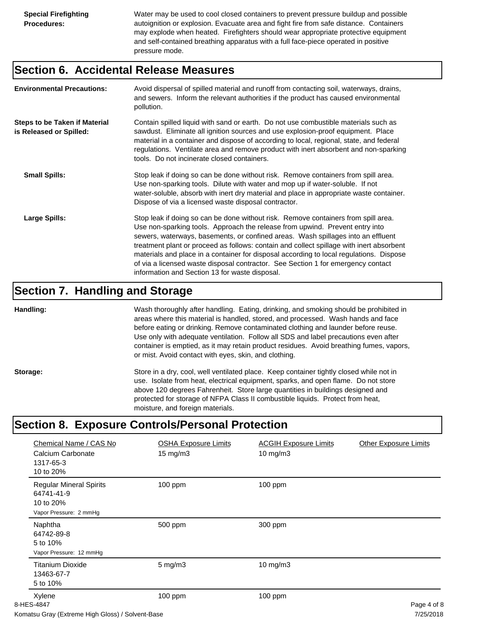Water may be used to cool closed containers to prevent pressure buildup and possible autoignition or explosion. Evacuate area and fight fire from safe distance. Containers may explode when heated. Firefighters should wear appropriate protective equipment and self-contained breathing apparatus with a full face-piece operated in positive pressure mode.

# **Section 6. Accidental Release Measures**

| <b>Environmental Precautions:</b>                               | Avoid dispersal of spilled material and runoff from contacting soil, waterways, drains,<br>and sewers. Inform the relevant authorities if the product has caused environmental<br>pollution.                                                                                                                                                                                                                                                                                                                                                                                        |
|-----------------------------------------------------------------|-------------------------------------------------------------------------------------------------------------------------------------------------------------------------------------------------------------------------------------------------------------------------------------------------------------------------------------------------------------------------------------------------------------------------------------------------------------------------------------------------------------------------------------------------------------------------------------|
| <b>Steps to be Taken if Material</b><br>is Released or Spilled: | Contain spilled liquid with sand or earth. Do not use combustible materials such as<br>sawdust. Eliminate all ignition sources and use explosion-proof equipment. Place<br>material in a container and dispose of according to local, regional, state, and federal<br>regulations. Ventilate area and remove product with inert absorbent and non-sparking<br>tools. Do not incinerate closed containers.                                                                                                                                                                           |
| <b>Small Spills:</b>                                            | Stop leak if doing so can be done without risk. Remove containers from spill area.<br>Use non-sparking tools. Dilute with water and mop up if water-soluble. If not<br>water-soluble, absorb with inert dry material and place in appropriate waste container.<br>Dispose of via a licensed waste disposal contractor.                                                                                                                                                                                                                                                              |
| Large Spills:                                                   | Stop leak if doing so can be done without risk. Remove containers from spill area.<br>Use non-sparking tools. Approach the release from upwind. Prevent entry into<br>sewers, waterways, basements, or confined areas. Wash spillages into an effluent<br>treatment plant or proceed as follows: contain and collect spillage with inert absorbent<br>materials and place in a container for disposal according to local regulations. Dispose<br>of via a licensed waste disposal contractor. See Section 1 for emergency contact<br>information and Section 13 for waste disposal. |

# **Section 7. Handling and Storage**

**Handling:** Wash thoroughly after handling. Eating, drinking, and smoking should be prohibited in areas where this material is handled, stored, and processed. Wash hands and face before eating or drinking. Remove contaminated clothing and launder before reuse. Use only with adequate ventilation. Follow all SDS and label precautions even after container is emptied, as it may retain product residues. Avoid breathing fumes, vapors, or mist. Avoid contact with eyes, skin, and clothing.

Storage: Store in a dry, cool, well ventilated place. Keep container tightly closed while not in use. Isolate from heat, electrical equipment, sparks, and open flame. Do not store above 120 degrees Fahrenheit. Store large quantities in buildings designed and protected for storage of NFPA Class II combustible liquids. Protect from heat, moisture, and foreign materials.

# **Section 8. Exposure Controls/Personal Protection**

| Chemical Name / CAS No                                                                                                                    | <b>OSHA Exposure Limits</b> | <b>ACGIH Exposure Limits</b> | <b>Other Exposure Limits</b>                                      |
|-------------------------------------------------------------------------------------------------------------------------------------------|-----------------------------|------------------------------|-------------------------------------------------------------------|
| Calcium Carbonate<br>1317-65-3<br>10 to 20%                                                                                               | $15 \text{ mg/m}$           | $10$ mg/m $3$                |                                                                   |
| <b>Regular Mineral Spirits</b><br>64741-41-9<br>10 to 20%<br>Vapor Pressure: 2 mmHg                                                       | 100 ppm                     | 100 ppm                      |                                                                   |
| Naphtha<br>64742-89-8<br>5 to 10%<br>Vapor Pressure: 12 mmHg                                                                              | 500 ppm                     | 300 ppm                      |                                                                   |
| <b>Titanium Dioxide</b><br>13463-67-7<br>5 to 10%                                                                                         | $5$ mg/m $3$                | 10 mg/m3                     |                                                                   |
| Xylene<br>8-HES-4847<br>$\mathcal{L}$ , and $\mathcal{L}$ , and $\mathcal{L}$ , and $\mathcal{L}$ , and $\mathcal{L}$ , and $\mathcal{L}$ | 100 ppm                     | $100$ ppm                    | Page 4 of 8<br>$\overline{z}$ in $\overline{z}$ in $\overline{z}$ |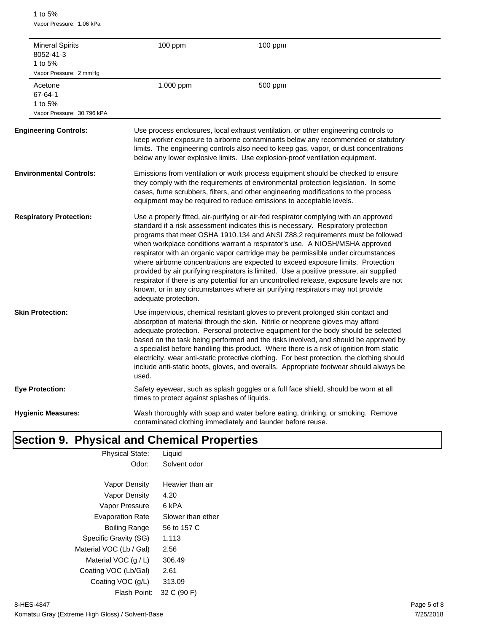1 to 5% Vapor Pressure: 1.06 kPa

| <b>Mineral Spirits</b><br>8052-41-3<br>1 to 5%<br>Vapor Pressure: 2 mmHg | 100 ppm                                       | 100 ppm                                                                                                                                                                                                                                                                                                                                                                                                                                                                                                                                                                                                                                                                                                                                                                                       |
|--------------------------------------------------------------------------|-----------------------------------------------|-----------------------------------------------------------------------------------------------------------------------------------------------------------------------------------------------------------------------------------------------------------------------------------------------------------------------------------------------------------------------------------------------------------------------------------------------------------------------------------------------------------------------------------------------------------------------------------------------------------------------------------------------------------------------------------------------------------------------------------------------------------------------------------------------|
| Acetone<br>67-64-1<br>1 to 5%<br>Vapor Pressure: 30.796 kPA              | 1,000 ppm                                     | 500 ppm                                                                                                                                                                                                                                                                                                                                                                                                                                                                                                                                                                                                                                                                                                                                                                                       |
| <b>Engineering Controls:</b>                                             |                                               | Use process enclosures, local exhaust ventilation, or other engineering controls to<br>keep worker exposure to airborne contaminants below any recommended or statutory<br>limits. The engineering controls also need to keep gas, vapor, or dust concentrations<br>below any lower explosive limits. Use explosion-proof ventilation equipment.                                                                                                                                                                                                                                                                                                                                                                                                                                              |
| <b>Environmental Controls:</b>                                           |                                               | Emissions from ventilation or work process equipment should be checked to ensure<br>they comply with the requirements of environmental protection legislation. In some<br>cases, fume scrubbers, filters, and other engineering modifications to the process<br>equipment may be required to reduce emissions to acceptable levels.                                                                                                                                                                                                                                                                                                                                                                                                                                                           |
| <b>Respiratory Protection:</b>                                           | adequate protection.                          | Use a properly fitted, air-purifying or air-fed respirator complying with an approved<br>standard if a risk assessment indicates this is necessary. Respiratory protection<br>programs that meet OSHA 1910.134 and ANSI Z88.2 requirements must be followed<br>when workplace conditions warrant a respirator's use. A NIOSH/MSHA approved<br>respirator with an organic vapor cartridge may be permissible under circumstances<br>where airborne concentrations are expected to exceed exposure limits. Protection<br>provided by air purifying respirators is limited. Use a positive pressure, air supplied<br>respirator if there is any potential for an uncontrolled release, exposure levels are not<br>known, or in any circumstances where air purifying respirators may not provide |
| <b>Skin Protection:</b>                                                  | used.                                         | Use impervious, chemical resistant gloves to prevent prolonged skin contact and<br>absorption of material through the skin. Nitrile or neoprene gloves may afford<br>adequate protection. Personal protective equipment for the body should be selected<br>based on the task being performed and the risks involved, and should be approved by<br>a specialist before handling this product. Where there is a risk of ignition from static<br>electricity, wear anti-static protective clothing. For best protection, the clothing should<br>include anti-static boots, gloves, and overalls. Appropriate footwear should always be                                                                                                                                                           |
| <b>Eye Protection:</b>                                                   | times to protect against splashes of liquids. | Safety eyewear, such as splash goggles or a full face shield, should be worn at all                                                                                                                                                                                                                                                                                                                                                                                                                                                                                                                                                                                                                                                                                                           |
| <b>Hygienic Measures:</b>                                                |                                               | Wash thoroughly with soap and water before eating, drinking, or smoking. Remove<br>contaminated clothing immediately and launder before reuse.                                                                                                                                                                                                                                                                                                                                                                                                                                                                                                                                                                                                                                                |

# **Section 9. Physical and Chemical Properties**

| <b>Physical State:</b>  | Liquid            |  |
|-------------------------|-------------------|--|
| Odor:                   | Solvent odor      |  |
|                         |                   |  |
| Vapor Density           | Heavier than air  |  |
| Vapor Density           | 4.20              |  |
| Vapor Pressure          | 6 kPA             |  |
| <b>Evaporation Rate</b> | Slower than ether |  |
| Boiling Range           | 56 to 157 C       |  |
| Specific Gravity (SG)   | 1.113             |  |
| Material VOC (Lb / Gal) | 2.56              |  |
| Material VOC $(q/L)$    | 306.49            |  |
| Coating VOC (Lb/Gal)    | 2.61              |  |
| Coating VOC (g/L)       | 313.09            |  |
| Flash Point:            | 32 C (90 F)       |  |
|                         |                   |  |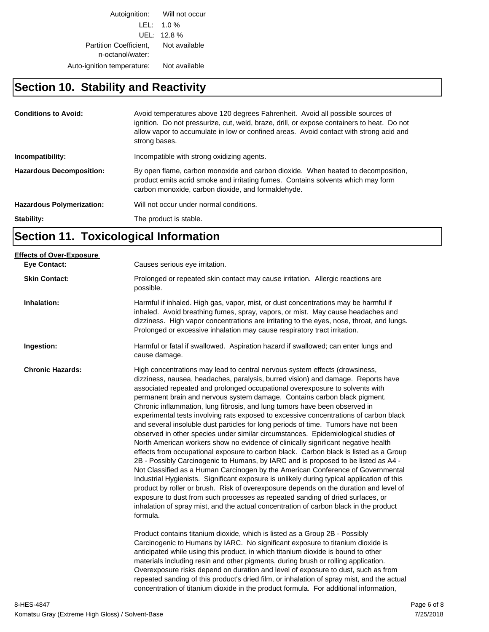Autoignition: Will not occur LEL: 1.0 % UEL: 12.8 % Partition Coefficient, Not available n-octanol/water: Auto-ignition temperature: Not available

# **Section 10. Stability and Reactivity**

| <b>Conditions to Avoid:</b>      | Avoid temperatures above 120 degrees Fahrenheit. Avoid all possible sources of<br>ignition. Do not pressurize, cut, weld, braze, drill, or expose containers to heat. Do not<br>allow vapor to accumulate in low or confined areas. Avoid contact with strong acid and<br>strong bases. |
|----------------------------------|-----------------------------------------------------------------------------------------------------------------------------------------------------------------------------------------------------------------------------------------------------------------------------------------|
| Incompatibility:                 | Incompatible with strong oxidizing agents.                                                                                                                                                                                                                                              |
| <b>Hazardous Decomposition:</b>  | By open flame, carbon monoxide and carbon dioxide. When heated to decomposition,<br>product emits acrid smoke and irritating fumes. Contains solvents which may form<br>carbon monoxide, carbon dioxide, and formaldehyde.                                                              |
| <b>Hazardous Polymerization:</b> | Will not occur under normal conditions.                                                                                                                                                                                                                                                 |
| Stability:                       | The product is stable.                                                                                                                                                                                                                                                                  |

# **Section 11. Toxicological Information**

| <b>Effects of Over-Exposure</b> |                                                                                                                                                                                                                                                                                                                                                                                                                                                                                                                                                                                                                                                                                                                                                                                                                                                                                                                                                                                                                                                                                                                                                                                                                                                                                                                                                                                                                                                                                                                                                                                                                                                                            |
|---------------------------------|----------------------------------------------------------------------------------------------------------------------------------------------------------------------------------------------------------------------------------------------------------------------------------------------------------------------------------------------------------------------------------------------------------------------------------------------------------------------------------------------------------------------------------------------------------------------------------------------------------------------------------------------------------------------------------------------------------------------------------------------------------------------------------------------------------------------------------------------------------------------------------------------------------------------------------------------------------------------------------------------------------------------------------------------------------------------------------------------------------------------------------------------------------------------------------------------------------------------------------------------------------------------------------------------------------------------------------------------------------------------------------------------------------------------------------------------------------------------------------------------------------------------------------------------------------------------------------------------------------------------------------------------------------------------------|
| <b>Eye Contact:</b>             | Causes serious eye irritation.                                                                                                                                                                                                                                                                                                                                                                                                                                                                                                                                                                                                                                                                                                                                                                                                                                                                                                                                                                                                                                                                                                                                                                                                                                                                                                                                                                                                                                                                                                                                                                                                                                             |
| <b>Skin Contact:</b>            | Prolonged or repeated skin contact may cause irritation. Allergic reactions are<br>possible.                                                                                                                                                                                                                                                                                                                                                                                                                                                                                                                                                                                                                                                                                                                                                                                                                                                                                                                                                                                                                                                                                                                                                                                                                                                                                                                                                                                                                                                                                                                                                                               |
| Inhalation:                     | Harmful if inhaled. High gas, vapor, mist, or dust concentrations may be harmful if<br>inhaled. Avoid breathing fumes, spray, vapors, or mist. May cause headaches and<br>dizziness. High vapor concentrations are irritating to the eyes, nose, throat, and lungs.<br>Prolonged or excessive inhalation may cause respiratory tract irritation.                                                                                                                                                                                                                                                                                                                                                                                                                                                                                                                                                                                                                                                                                                                                                                                                                                                                                                                                                                                                                                                                                                                                                                                                                                                                                                                           |
| Ingestion:                      | Harmful or fatal if swallowed. Aspiration hazard if swallowed; can enter lungs and<br>cause damage.                                                                                                                                                                                                                                                                                                                                                                                                                                                                                                                                                                                                                                                                                                                                                                                                                                                                                                                                                                                                                                                                                                                                                                                                                                                                                                                                                                                                                                                                                                                                                                        |
| <b>Chronic Hazards:</b>         | High concentrations may lead to central nervous system effects (drowsiness,<br>dizziness, nausea, headaches, paralysis, burred vision) and damage. Reports have<br>associated repeated and prolonged occupational overexposure to solvents with<br>permanent brain and nervous system damage. Contains carbon black pigment.<br>Chronic inflammation, lung fibrosis, and lung tumors have been observed in<br>experimental tests involving rats exposed to excessive concentrations of carbon black<br>and several insoluble dust particles for long periods of time. Tumors have not been<br>observed in other species under similar circumstances. Epidemiological studies of<br>North American workers show no evidence of clinically significant negative health<br>effects from occupational exposure to carbon black. Carbon black is listed as a Group<br>2B - Possibly Carcinogenic to Humans, by IARC and is proposed to be listed as A4 -<br>Not Classified as a Human Carcinogen by the American Conference of Governmental<br>Industrial Hygienists. Significant exposure is unlikely during typical application of this<br>product by roller or brush. Risk of overexposure depends on the duration and level of<br>exposure to dust from such processes as repeated sanding of dried surfaces, or<br>inhalation of spray mist, and the actual concentration of carbon black in the product<br>formula.<br>Product contains titanium dioxide, which is listed as a Group 2B - Possibly<br>Carcinogenic to Humans by IARC. No significant exposure to titanium dioxide is<br>anticipated while using this product, in which titanium dioxide is bound to other |
|                                 | materials including resin and other pigments, during brush or rolling application.<br>Overexposure risks depend on duration and level of exposure to dust, such as from<br>repeated sanding of this product's dried film, or inhalation of spray mist, and the actual<br>concentration of titanium dioxide in the product formula. For additional information,                                                                                                                                                                                                                                                                                                                                                                                                                                                                                                                                                                                                                                                                                                                                                                                                                                                                                                                                                                                                                                                                                                                                                                                                                                                                                                             |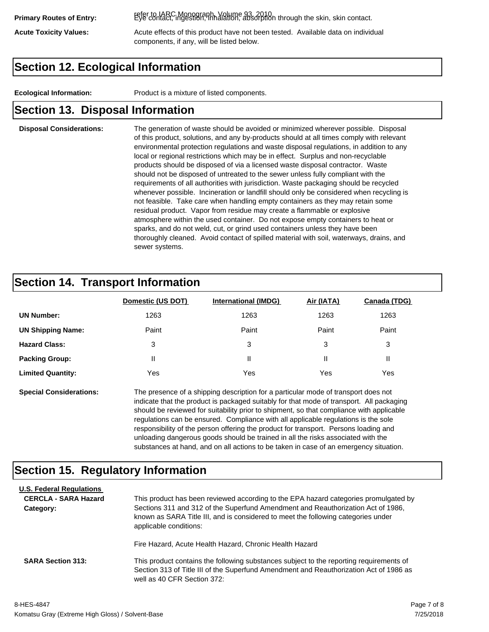refer to IARC Monograph, Volume 93, 2010. **Primary Routes of Entry:** Eye contact, ingestion, inhalation, absorption through the skin, skin contact.

Acute Toxicity Values: **Acute effects of this product have not been tested.** Available data on individual components, if any, will be listed below.

# **Section 12. Ecological Information**

**Ecological Information:** Product is a mixture of listed components.

# **Section 13. Disposal Information**

### **Disposal Considerations:** The generation of waste should be avoided or minimized wherever possible. Disposal of this product, solutions, and any by-products should at all times comply with relevant environmental protection regulations and waste disposal regulations, in addition to any local or regional restrictions which may be in effect. Surplus and non-recyclable products should be disposed of via a licensed waste disposal contractor. Waste should not be disposed of untreated to the sewer unless fully compliant with the requirements of all authorities with jurisdiction. Waste packaging should be recycled whenever possible. Incineration or landfill should only be considered when recycling is not feasible. Take care when handling empty containers as they may retain some residual product. Vapor from residue may create a flammable or explosive atmosphere within the used container. Do not expose empty containers to heat or sparks, and do not weld, cut, or grind used containers unless they have been thoroughly cleaned. Avoid contact of spilled material with soil, waterways, drains, and sewer systems.

# **Section 14. Transport Information**

|                          | Domestic (US DOT) | <b>International (IMDG)</b> | Air (IATA) | Canada (TDG) |
|--------------------------|-------------------|-----------------------------|------------|--------------|
| <b>UN Number:</b>        | 1263              | 1263                        | 1263       | 1263         |
| <b>UN Shipping Name:</b> | Paint             | Paint                       | Paint      | Paint        |
| <b>Hazard Class:</b>     | 3                 | 3                           | 3          | 3            |
| <b>Packing Group:</b>    | Ш                 | Ш                           |            |              |
| <b>Limited Quantity:</b> | Yes               | Yes                         | Yes        | Yes          |

**Special Considerations:** The presence of a shipping description for a particular mode of transport does not indicate that the product is packaged suitably for that mode of transport. All packaging should be reviewed for suitability prior to shipment, so that compliance with applicable regulations can be ensured. Compliance with all applicable regulations is the sole responsibility of the person offering the product for transport. Persons loading and unloading dangerous goods should be trained in all the risks associated with the substances at hand, and on all actions to be taken in case of an emergency situation.

# **Section 15. Regulatory Information**

| <b>U.S. Federal Regulations</b><br><b>CERCLA - SARA Hazard</b><br>Category: | This product has been reviewed according to the EPA hazard categories promulgated by<br>Sections 311 and 312 of the Superfund Amendment and Reauthorization Act of 1986,<br>known as SARA Title III, and is considered to meet the following categories under<br>applicable conditions: |
|-----------------------------------------------------------------------------|-----------------------------------------------------------------------------------------------------------------------------------------------------------------------------------------------------------------------------------------------------------------------------------------|
| <b>SARA Section 313:</b>                                                    | Fire Hazard, Acute Health Hazard, Chronic Health Hazard<br>This product contains the following substances subject to the reporting requirements of<br>Section 313 of Title III of the Superfund Amendment and Reauthorization Act of 1986 as<br>well as 40 CFR Section 372:             |